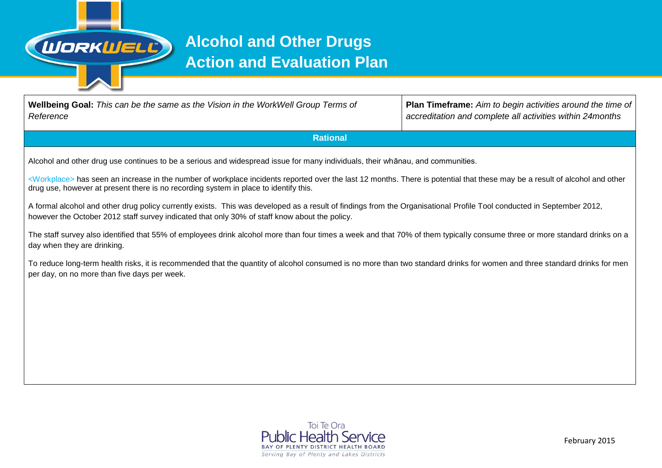

## **Alcohol and Other Drugs Action and Evaluation Plan**

| <b>Wellbeing Goal:</b> This can be the same as the Vision in the WorkWell Group Terms of<br>Reference                                                                                                                                                                           | <b>Plan Timeframe:</b> Aim to begin activities around the time of<br>accreditation and complete all activities within 24months |  |  |  |  |  |
|---------------------------------------------------------------------------------------------------------------------------------------------------------------------------------------------------------------------------------------------------------------------------------|--------------------------------------------------------------------------------------------------------------------------------|--|--|--|--|--|
| <b>Rational</b>                                                                                                                                                                                                                                                                 |                                                                                                                                |  |  |  |  |  |
| Alcohol and other drug use continues to be a serious and widespread issue for many individuals, their whānau, and communities.                                                                                                                                                  |                                                                                                                                |  |  |  |  |  |
| <workplace> has seen an increase in the number of workplace incidents reported over the last 12 months. There is potential that these may be a result of alcohol and other<br/>drug use, however at present there is no recording system in place to identify this.</workplace> |                                                                                                                                |  |  |  |  |  |
| A formal alcohol and other drug policy currently exists. This was developed as a result of findings from the Organisational Profile Tool conducted in September 2012,<br>however the October 2012 staff survey indicated that only 30% of staff know about the policy.          |                                                                                                                                |  |  |  |  |  |
| The staff survey also identified that 55% of employees drink alcohol more than four times a week and that 70% of them typically consume three or more standard drinks on a<br>day when they are drinking.                                                                       |                                                                                                                                |  |  |  |  |  |
| To reduce long-term health risks, it is recommended that the quantity of alcohol consumed is no more than two standard drinks for women and three standard drinks for men<br>per day, on no more than five days per week.                                                       |                                                                                                                                |  |  |  |  |  |
|                                                                                                                                                                                                                                                                                 |                                                                                                                                |  |  |  |  |  |

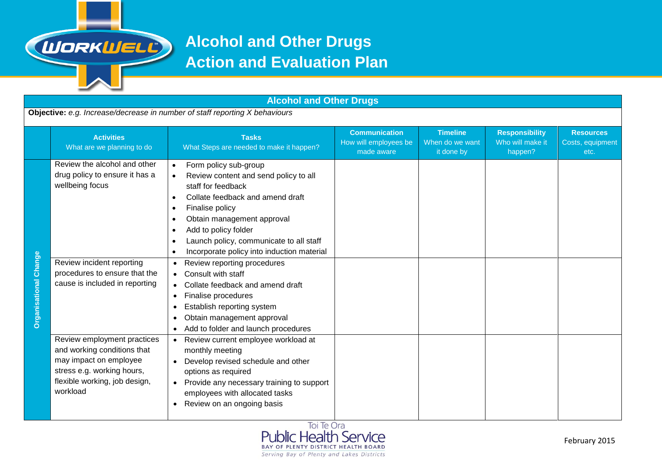

## **Alcohol and Other Drugs Action and Evaluation Plan**

| <b>Alcohol and Other Drugs</b>                                              |                                                                                                                                                                                   |                                                                                                                                                                                                                                                                                                                                                                                                                                                                                                                                                                                                                                                   |                                                             |                                                  |                                                      |                                              |  |  |
|-----------------------------------------------------------------------------|-----------------------------------------------------------------------------------------------------------------------------------------------------------------------------------|---------------------------------------------------------------------------------------------------------------------------------------------------------------------------------------------------------------------------------------------------------------------------------------------------------------------------------------------------------------------------------------------------------------------------------------------------------------------------------------------------------------------------------------------------------------------------------------------------------------------------------------------------|-------------------------------------------------------------|--------------------------------------------------|------------------------------------------------------|----------------------------------------------|--|--|
| Objective: e.g. Increase/decrease in number of staff reporting X behaviours |                                                                                                                                                                                   |                                                                                                                                                                                                                                                                                                                                                                                                                                                                                                                                                                                                                                                   |                                                             |                                                  |                                                      |                                              |  |  |
|                                                                             | <b>Activities</b><br>What are we planning to do                                                                                                                                   | <b>Tasks</b><br>What Steps are needed to make it happen?                                                                                                                                                                                                                                                                                                                                                                                                                                                                                                                                                                                          | <b>Communication</b><br>How will employees be<br>made aware | <b>Timeline</b><br>When do we want<br>it done by | <b>Responsibility</b><br>Who will make it<br>happen? | <b>Resources</b><br>Costs, equipment<br>etc. |  |  |
| <b>Organisational Change</b>                                                | Review the alcohol and other<br>drug policy to ensure it has a<br>wellbeing focus<br>Review incident reporting<br>procedures to ensure that the<br>cause is included in reporting | Form policy sub-group<br>$\bullet$<br>Review content and send policy to all<br>$\bullet$<br>staff for feedback<br>Collate feedback and amend draft<br>$\bullet$<br>Finalise policy<br>٠<br>Obtain management approval<br>Add to policy folder<br>Launch policy, communicate to all staff<br>$\bullet$<br>Incorporate policy into induction material<br>$\bullet$<br>Review reporting procedures<br>$\bullet$<br>Consult with staff<br>Collate feedback and amend draft<br>$\bullet$<br>Finalise procedures<br>$\bullet$<br>Establish reporting system<br>٠<br>Obtain management approval<br>٠<br>Add to folder and launch procedures<br>$\bullet$ |                                                             |                                                  |                                                      |                                              |  |  |
|                                                                             | Review employment practices<br>and working conditions that<br>may impact on employee<br>stress e.g. working hours,<br>flexible working, job design,<br>workload                   | Review current employee workload at<br>$\bullet$<br>monthly meeting<br>Develop revised schedule and other<br>$\bullet$<br>options as required<br>Provide any necessary training to support<br>$\bullet$<br>employees with allocated tasks<br>Review on an ongoing basis                                                                                                                                                                                                                                                                                                                                                                           |                                                             |                                                  |                                                      |                                              |  |  |